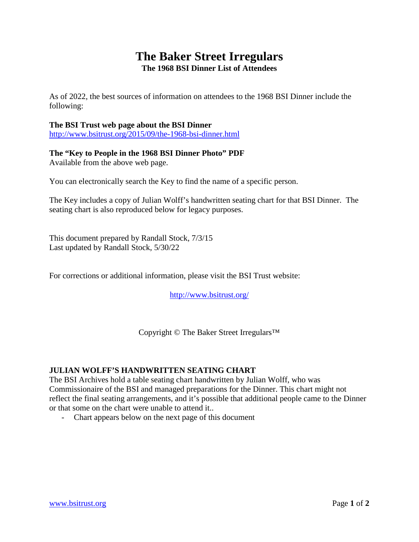## **The Baker Street Irregulars The 1968 BSI Dinner List of Attendees**

As of 2022, the best sources of information on attendees to the 1968 BSI Dinner include the following:

## **The BSI Trust web page about the BSI Dinner**

<http://www.bsitrust.org/2015/09/the-1968-bsi-dinner.html>

## **The "Key to People in the 1968 BSI Dinner Photo" PDF** Available from the above web page.

You can electronically search the Key to find the name of a specific person.

The Key includes a copy of Julian Wolff's handwritten seating chart for that BSI Dinner. The seating chart is also reproduced below for legacy purposes.

This document prepared by Randall Stock, 7/3/15 Last updated by Randall Stock, 5/30/22

For corrections or additional information, please visit the BSI Trust website:

<http://www.bsitrust.org/>

Copyright © The Baker Street Irregulars™

## **JULIAN WOLFF'S HANDWRITTEN SEATING CHART**

The BSI Archives hold a table seating chart handwritten by Julian Wolff, who was Commissionaire of the BSI and managed preparations for the Dinner. This chart might not reflect the final seating arrangements, and it's possible that additional people came to the Dinner or that some on the chart were unable to attend it..

- Chart appears below on the next page of this document